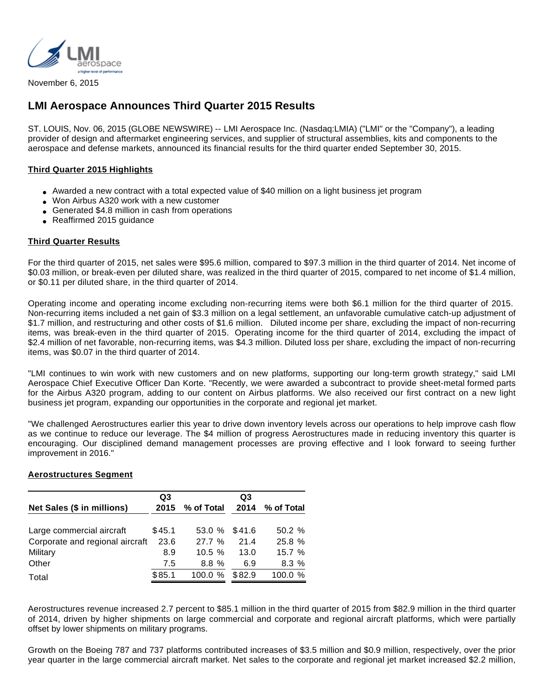

November 6, 2015

# **LMI Aerospace Announces Third Quarter 2015 Results**

ST. LOUIS, Nov. 06, 2015 (GLOBE NEWSWIRE) -- LMI Aerospace Inc. (Nasdaq:LMIA) ("LMI" or the "Company"), a leading provider of design and aftermarket engineering services, and supplier of structural assemblies, kits and components to the aerospace and defense markets, announced its financial results for the third quarter ended September 30, 2015.

## **Third Quarter 2015 Highlights**

- Awarded a new contract with a total expected value of \$40 million on a light business jet program
- Won Airbus A320 work with a new customer
- Generated \$4.8 million in cash from operations
- Reaffirmed 2015 guidance

## **Third Quarter Results**

For the third quarter of 2015, net sales were \$95.6 million, compared to \$97.3 million in the third quarter of 2014. Net income of \$0.03 million, or break-even per diluted share, was realized in the third quarter of 2015, compared to net income of \$1.4 million, or \$0.11 per diluted share, in the third quarter of 2014.

Operating income and operating income excluding non-recurring items were both \$6.1 million for the third quarter of 2015. Non-recurring items included a net gain of \$3.3 million on a legal settlement, an unfavorable cumulative catch-up adjustment of \$1.7 million, and restructuring and other costs of \$1.6 million. Diluted income per share, excluding the impact of non-recurring items, was break-even in the third quarter of 2015. Operating income for the third quarter of 2014, excluding the impact of \$2.4 million of net favorable, non-recurring items, was \$4.3 million. Diluted loss per share, excluding the impact of non-recurring items, was \$0.07 in the third quarter of 2014.

"LMI continues to win work with new customers and on new platforms, supporting our long-term growth strategy," said LMI Aerospace Chief Executive Officer Dan Korte. "Recently, we were awarded a subcontract to provide sheet-metal formed parts for the Airbus A320 program, adding to our content on Airbus platforms. We also received our first contract on a new light business jet program, expanding our opportunities in the corporate and regional jet market.

"We challenged Aerostructures earlier this year to drive down inventory levels across our operations to help improve cash flow as we continue to reduce our leverage. The \$4 million of progress Aerostructures made in reducing inventory this quarter is encouraging. Our disciplined demand management processes are proving effective and I look forward to seeing further improvement in 2016."

## **Aerostructures Segment**

|                                 | Q3     |                 | Q3     |                 |
|---------------------------------|--------|-----------------|--------|-----------------|
| Net Sales (\$ in millions)      |        | 2015 % of Total |        | 2014 % of Total |
| Large commercial aircraft       | \$45.1 | 53.0 % \$41.6   |        | 50.2%           |
| Corporate and regional aircraft | 23.6   | 27.7%           | 21.4   | 25.8%           |
| Military                        | 8.9    | $10.5 \%$       | 13.0   | 15.7%           |
| Other                           | 7.5    | 8.8%            | 6.9    | 8.3%            |
| Total                           | \$85.1 | 100.0 %         | \$82.9 | 100.0 %         |

Aerostructures revenue increased 2.7 percent to \$85.1 million in the third quarter of 2015 from \$82.9 million in the third quarter of 2014, driven by higher shipments on large commercial and corporate and regional aircraft platforms, which were partially offset by lower shipments on military programs.

Growth on the Boeing 787 and 737 platforms contributed increases of \$3.5 million and \$0.9 million, respectively, over the prior year quarter in the large commercial aircraft market. Net sales to the corporate and regional jet market increased \$2.2 million,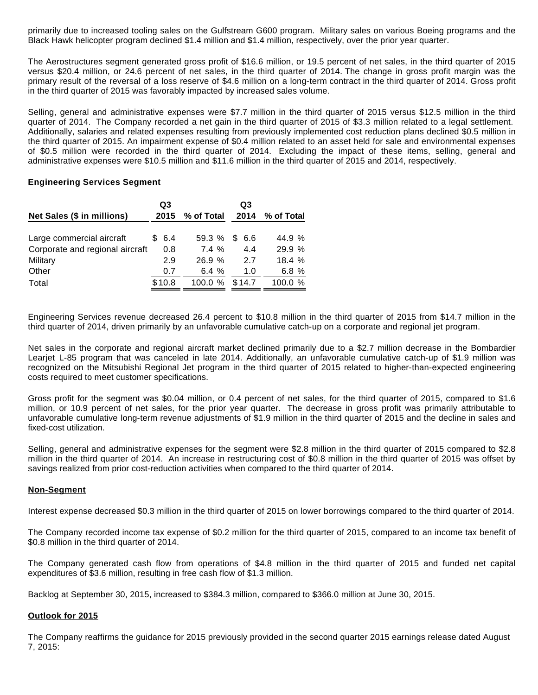primarily due to increased tooling sales on the Gulfstream G600 program. Military sales on various Boeing programs and the Black Hawk helicopter program declined \$1.4 million and \$1.4 million, respectively, over the prior year quarter.

The Aerostructures segment generated gross profit of \$16.6 million, or 19.5 percent of net sales, in the third quarter of 2015 versus \$20.4 million, or 24.6 percent of net sales, in the third quarter of 2014. The change in gross profit margin was the primary result of the reversal of a loss reserve of \$4.6 million on a long-term contract in the third quarter of 2014. Gross profit in the third quarter of 2015 was favorably impacted by increased sales volume.

Selling, general and administrative expenses were \$7.7 million in the third quarter of 2015 versus \$12.5 million in the third quarter of 2014. The Company recorded a net gain in the third quarter of 2015 of \$3.3 million related to a legal settlement. Additionally, salaries and related expenses resulting from previously implemented cost reduction plans declined \$0.5 million in the third quarter of 2015. An impairment expense of \$0.4 million related to an asset held for sale and environmental expenses of \$0.5 million were recorded in the third quarter of 2014. Excluding the impact of these items, selling, general and administrative expenses were \$10.5 million and \$11.6 million in the third quarter of 2015 and 2014, respectively.

### **Engineering Services Segment**

|                                 |  | Q <sub>3</sub> |                 | Q3     |                 |
|---------------------------------|--|----------------|-----------------|--------|-----------------|
| Net Sales (\$ in millions)      |  |                | 2015 % of Total |        | 2014 % of Total |
| Large commercial aircraft       |  | \$ 6.4         | 59.3 % \$ 6.6   |        | 44.9 %          |
| Corporate and regional aircraft |  | 0.8            | 7.4%            | 4.4    | 29.9%           |
| Military                        |  | 2.9            | 26.9%           | 2.7    | 18.4%           |
| Other                           |  | 0.7            | 6.4 $%$         | 1.0    | 6.8%            |
| Total                           |  | \$10.8         | 100.0 %         | \$14.7 | 100.0 %         |

Engineering Services revenue decreased 26.4 percent to \$10.8 million in the third quarter of 2015 from \$14.7 million in the third quarter of 2014, driven primarily by an unfavorable cumulative catch-up on a corporate and regional jet program.

Net sales in the corporate and regional aircraft market declined primarily due to a \$2.7 million decrease in the Bombardier Learjet L-85 program that was canceled in late 2014. Additionally, an unfavorable cumulative catch-up of \$1.9 million was recognized on the Mitsubishi Regional Jet program in the third quarter of 2015 related to higher-than-expected engineering costs required to meet customer specifications.

Gross profit for the segment was \$0.04 million, or 0.4 percent of net sales, for the third quarter of 2015, compared to \$1.6 million, or 10.9 percent of net sales, for the prior year quarter. The decrease in gross profit was primarily attributable to unfavorable cumulative long-term revenue adjustments of \$1.9 million in the third quarter of 2015 and the decline in sales and fixed-cost utilization.

Selling, general and administrative expenses for the segment were \$2.8 million in the third quarter of 2015 compared to \$2.8 million in the third quarter of 2014. An increase in restructuring cost of \$0.8 million in the third quarter of 2015 was offset by savings realized from prior cost-reduction activities when compared to the third quarter of 2014.

## **Non-Segment**

Interest expense decreased \$0.3 million in the third quarter of 2015 on lower borrowings compared to the third quarter of 2014.

The Company recorded income tax expense of \$0.2 million for the third quarter of 2015, compared to an income tax benefit of \$0.8 million in the third quarter of 2014.

The Company generated cash flow from operations of \$4.8 million in the third quarter of 2015 and funded net capital expenditures of \$3.6 million, resulting in free cash flow of \$1.3 million.

Backlog at September 30, 2015, increased to \$384.3 million, compared to \$366.0 million at June 30, 2015.

#### **Outlook for 2015**

The Company reaffirms the guidance for 2015 previously provided in the second quarter 2015 earnings release dated August 7, 2015: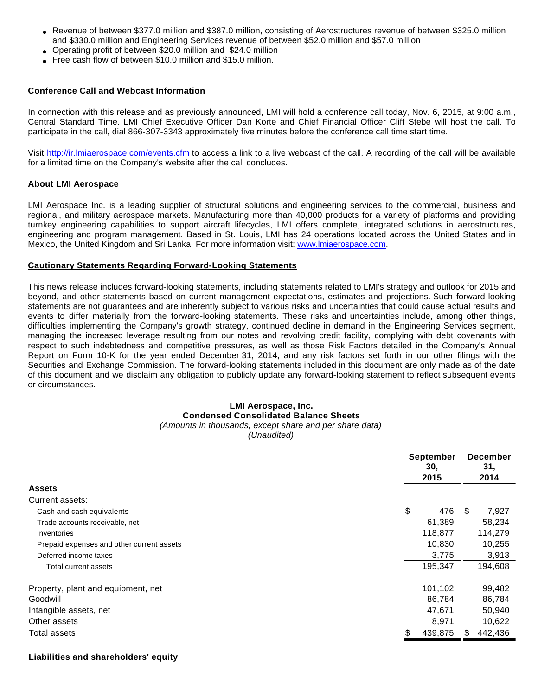- Revenue of between \$377.0 million and \$387.0 million, consisting of Aerostructures revenue of between \$325.0 million and \$330.0 million and Engineering Services revenue of between \$52.0 million and \$57.0 million
- Operating profit of between \$20.0 million and \$24.0 million
- Free cash flow of between \$10.0 million and \$15.0 million.

### **Conference Call and Webcast Information**

In connection with this release and as previously announced, LMI will hold a conference call today, Nov. 6, 2015, at 9:00 a.m., Central Standard Time. LMI Chief Executive Officer Dan Korte and Chief Financial Officer Cliff Stebe will host the call. To participate in the call, dial 866-307-3343 approximately five minutes before the conference call time start time.

Visit [http://ir.lmiaerospace.com/events.cfm](http://www.globenewswire.com/Tracker?data=2Hsfjr8FjDNbr_jht3xDt8W_wFL751KhGjwXe8OzCvU0UrLHNhJSKt9FufJrNdQIU96SkjUE4ONITx7fSFEAqr7Q1dUGBsquuctXjpKEuYxootoU0hsdMk9frZsVX6iK) to access a link to a live webcast of the call. A recording of the call will be available for a limited time on the Company's website after the call concludes.

#### **About LMI Aerospace**

LMI Aerospace Inc. is a leading supplier of structural solutions and engineering services to the commercial, business and regional, and military aerospace markets. Manufacturing more than 40,000 products for a variety of platforms and providing turnkey engineering capabilities to support aircraft lifecycles, LMI offers complete, integrated solutions in aerostructures, engineering and program management. Based in St. Louis, LMI has 24 operations located across the United States and in Mexico, the United Kingdom and Sri Lanka. For more information visit: [www.lmiaerospace.com](http://www.globenewswire.com/Tracker?data=jpMj1NrVco0wypF7RiRl6_mu-Fye1yxIYgSRMxCvvXRIzoQEheA7cWG6lR277VDI1Lkjb491EJvf6VdTlySg1v1zkAJt5oPD3XlOEl18gsM=).

## **Cautionary Statements Regarding Forward-Looking Statements**

This news release includes forward-looking statements, including statements related to LMI's strategy and outlook for 2015 and beyond, and other statements based on current management expectations, estimates and projections. Such forward-looking statements are not guarantees and are inherently subject to various risks and uncertainties that could cause actual results and events to differ materially from the forward-looking statements. These risks and uncertainties include, among other things, difficulties implementing the Company's growth strategy, continued decline in demand in the Engineering Services segment, managing the increased leverage resulting from our notes and revolving credit facility, complying with debt covenants with respect to such indebtedness and competitive pressures, as well as those Risk Factors detailed in the Company's Annual Report on Form 10-K for the year ended December 31, 2014, and any risk factors set forth in our other filings with the Securities and Exchange Commission. The forward-looking statements included in this document are only made as of the date of this document and we disclaim any obligation to publicly update any forward-looking statement to reflect subsequent events or circumstances.

## **LMI Aerospace, Inc. Condensed Consolidated Balance Sheets** (Amounts in thousands, except share and per share data)

(Unaudited)

|                                           | <b>September</b><br>30.<br>2015 |         | <b>December</b><br>31,<br>2014 |         |  |
|-------------------------------------------|---------------------------------|---------|--------------------------------|---------|--|
| <b>Assets</b>                             |                                 |         |                                |         |  |
| Current assets:                           |                                 |         |                                |         |  |
| Cash and cash equivalents                 | \$                              | 476     | \$.                            | 7,927   |  |
| Trade accounts receivable, net            |                                 | 61,389  |                                | 58,234  |  |
| Inventories                               |                                 | 118,877 |                                | 114,279 |  |
| Prepaid expenses and other current assets |                                 | 10,830  |                                | 10,255  |  |
| Deferred income taxes                     |                                 | 3,775   |                                | 3,913   |  |
| Total current assets                      |                                 | 195,347 |                                | 194,608 |  |
| Property, plant and equipment, net        |                                 | 101,102 |                                | 99,482  |  |
| Goodwill                                  |                                 | 86,784  |                                | 86,784  |  |
| Intangible assets, net                    |                                 | 47,671  |                                | 50,940  |  |
| Other assets                              |                                 | 8,971   |                                | 10,622  |  |
| Total assets                              |                                 | 439,875 | \$                             | 442,436 |  |

#### **Liabilities and shareholders' equity**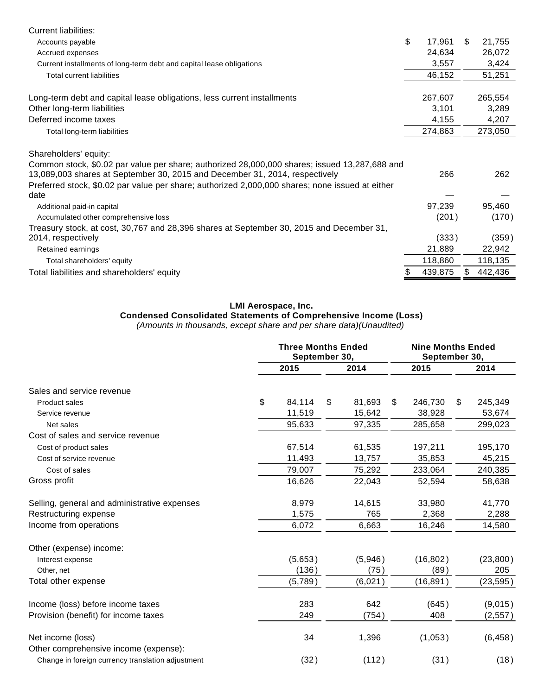| <b>Current liabilities:</b>                                                                     |              |     |         |
|-------------------------------------------------------------------------------------------------|--------------|-----|---------|
| Accounts payable                                                                                | \$<br>17,961 | \$. | 21,755  |
| Accrued expenses                                                                                | 24,634       |     | 26,072  |
| Current installments of long-term debt and capital lease obligations                            | 3,557        |     | 3,424   |
| <b>Total current liabilities</b>                                                                | 46,152       |     | 51,251  |
| Long-term debt and capital lease obligations, less current installments                         | 267,607      |     | 265,554 |
| Other long-term liabilities                                                                     | 3,101        |     | 3,289   |
| Deferred income taxes                                                                           | 4,155        |     | 4,207   |
| Total long-term liabilities                                                                     | 274,863      |     | 273,050 |
| Shareholders' equity:                                                                           |              |     |         |
| Common stock, \$0.02 par value per share; authorized 28,000,000 shares; issued 13,287,688 and   |              |     |         |
| 13,089,003 shares at September 30, 2015 and December 31, 2014, respectively                     | 266          |     | 262     |
| Preferred stock, \$0.02 par value per share; authorized 2,000,000 shares; none issued at either |              |     |         |
| date                                                                                            |              |     |         |
| Additional paid-in capital                                                                      | 97,239       |     | 95,460  |
| Accumulated other comprehensive loss                                                            | (201)        |     | (170)   |
| Treasury stock, at cost, 30,767 and 28,396 shares at September 30, 2015 and December 31,        |              |     |         |
| 2014, respectively                                                                              | (333)        |     | (359)   |
| Retained earnings                                                                               | 21,889       |     | 22,942  |
| Total shareholders' equity                                                                      | 118,860      |     | 118,135 |
| Total liabilities and shareholders' equity                                                      | 439,875      | S   | 442,436 |

## **LMI Aerospace, Inc.**

#### **Condensed Consolidated Statements of Comprehensive Income (Loss)**

(Amounts in thousands, except share and per share data)(Unaudited)

|                                                            |    | <b>Three Months Ended</b><br>September 30, |      |         |      | <b>Nine Months Ended</b><br>September 30, |    |           |
|------------------------------------------------------------|----|--------------------------------------------|------|---------|------|-------------------------------------------|----|-----------|
|                                                            |    | 2015                                       | 2014 |         | 2015 |                                           |    | 2014      |
| Sales and service revenue                                  |    |                                            |      |         |      |                                           |    |           |
| <b>Product sales</b>                                       | \$ | 84,114                                     | \$   | 81,693  | \$   | 246,730                                   | \$ | 245,349   |
| Service revenue                                            |    | 11,519                                     |      | 15,642  |      | 38,928                                    |    | 53,674    |
| Net sales                                                  |    | 95,633                                     |      | 97,335  |      | 285,658                                   |    | 299,023   |
| Cost of sales and service revenue                          |    |                                            |      |         |      |                                           |    |           |
| Cost of product sales                                      |    | 67,514                                     |      | 61,535  |      | 197,211                                   |    | 195,170   |
| Cost of service revenue                                    |    | 11,493                                     |      | 13,757  |      | 35,853                                    |    | 45,215    |
| Cost of sales                                              |    | 79,007                                     |      | 75,292  |      | 233,064                                   |    | 240,385   |
| Gross profit                                               |    | 16,626                                     |      | 22,043  |      | 52,594                                    |    | 58,638    |
| Selling, general and administrative expenses               |    | 8,979                                      |      | 14,615  |      | 33,980                                    |    | 41,770    |
| Restructuring expense                                      |    | 1,575                                      |      | 765     |      | 2,368                                     |    | 2,288     |
| Income from operations                                     |    | 6,072                                      |      | 6,663   |      | 16,246                                    |    | 14,580    |
| Other (expense) income:                                    |    |                                            |      |         |      |                                           |    |           |
| Interest expense                                           |    | (5,653)                                    |      | (5,946) |      | (16, 802)                                 |    | (23, 800) |
| Other, net                                                 |    | (136)                                      |      | (75)    |      | (89)                                      |    | 205       |
| Total other expense                                        |    | (5,789)                                    |      | (6,021) |      | (16, 891)                                 |    | (23, 595) |
| Income (loss) before income taxes                          |    | 283                                        |      | 642     |      | (645)                                     |    | (9,015)   |
| Provision (benefit) for income taxes                       |    | 249                                        |      | (754)   |      | 408                                       |    | (2, 557)  |
| Net income (loss)<br>Other comprehensive income (expense): |    | 34                                         |      | 1,396   |      | (1,053)                                   |    | (6, 458)  |
| Change in foreign currency translation adjustment          |    | (32)                                       |      | (112)   |      | (31)                                      |    | (18)      |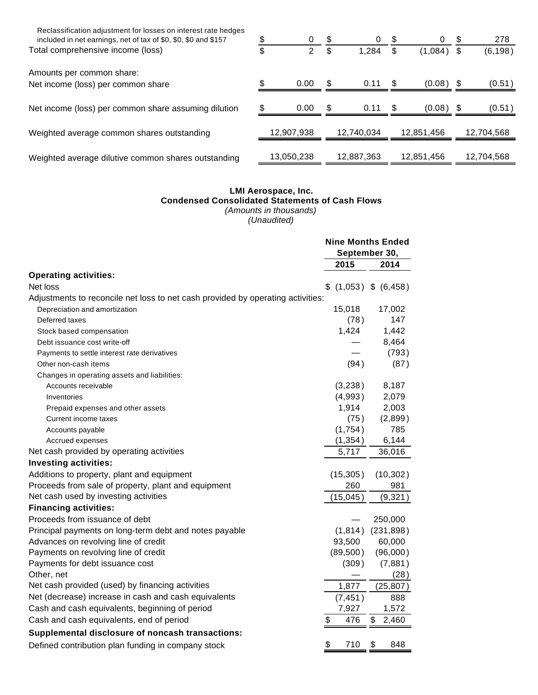| Reclassification adjustment for losses on interest rate hedges<br>included in net earnings, net of tax of \$0, \$0, \$0 and \$157 | 0          | \$   | 0          | \$   | 0           | \$<br>278  |
|-----------------------------------------------------------------------------------------------------------------------------------|------------|------|------------|------|-------------|------------|
| Total comprehensive income (loss)                                                                                                 | \$<br>2    |      | 1.284      |      | (1,084)     | (6, 198)   |
| Amounts per common share:                                                                                                         |            |      |            |      |             |            |
| Net income (loss) per common share                                                                                                | 0.00       | \$   | 0.11       | \$   | (0.08)      | (0.51)     |
| Net income (loss) per common share assuming dilution                                                                              | 0.00       | - \$ | 0.11       | - \$ | $(0.08)$ \$ | (0.51)     |
| Weighted average common shares outstanding                                                                                        | 12,907,938 |      | 12.740.034 |      | 12,851,456  | 12,704,568 |
| Weighted average dilutive common shares outstanding                                                                               | 13,050,238 |      | 12.887.363 |      | 12.851.456  | 12,704,568 |

#### **LMI Aerospace, Inc. Condensed Consolidated Statements of Cash Flows** (Amounts in thousands) (Unaudited)

**Nine Months Ended September 30, 2015 2014 Operating activities:** Net loss  $\frac{1}{2}$  (1,053)  $\frac{1}{2}$  (6,458) Adjustments to reconcile net loss to net cash provided by operating activities: Depreciation and amortization 15,018 17,002 Deferred taxes (78 ) 147 Stock based compensation **1,424** 1,442 1,442 Debt issuance cost write-off **EXECUTE:**  $\frac{3.464}{5.664}$ Payments to settle interest rate derivatives — (793 ) Other non-cash items (87) (87) Changes in operating assets and liabilities: Accounts receivable  $(3,238)$  8,187 Inventories (4,993 ) 2,079 Prepaid expenses and other assets 1,914 2,003 Current income taxes (75) (2,899) Accounts payable **1,754** and 1,754 and 1,754 and 1,754 and 1,754 and 1,754 and 1,754 and 1,754 and 1,754 and 1,754 and 1,754 and 1,754 and 1,754 and 1,754 and 1,754 and 1,754 and 1,754 and 1,754 and 1,754 and 1,754 and 1,7 Accrued expenses and the control of the control of the control of the control of the control of the control of the control of the control of the control of the control of the control of the control of the control of the co Net cash provided by operating activities 5,717 36,016 **Investing activities:** Additions to property, plant and equipment (15,305) (10,302) Proceeds from sale of property, plant and equipment 260 981 Net cash used by investing activities (15,045) (9,321) **Financing activities:** Proceeds from issuance of debt **All and Solution** 250,000 and 250,000 Principal payments on long-term debt and notes payable (1,814) (231,898) Advances on revolving line of credit example 33,500 60,000 60,000 Payments on revolving line of credit (89,500) (96,000) Payments for debt issuance cost (309) (7,881) Other, net  $(-1)^{n}$  and  $(-1)^{n}$  and  $(-1)^{n}$  and  $(-1)^{n}$  and  $(-1)^{n}$  and  $(-1)^{n}$  and  $(-1)^{n}$  and  $(-1)^{n}$  and  $(-1)^{n}$  and  $(-1)^{n}$  and  $(-1)^{n}$  and  $(-1)^{n}$  and  $(-1)^{n}$  and  $(-1)^{n}$  and  $(-1)^{n}$  and  $(-1)^{n}$  and  $(-$ Net cash provided (used) by financing activities 1,877 (25,807) Net (decrease) increase in cash and cash equivalents (7,451) 888 Cash and cash equivalents, beginning of period 7,927 1,572 Cash and cash equivalents, end of period  $\frac{1}{2}$  6  $\frac{476}{3}$  476  $\frac{2,460}{47}$ **Supplemental disclosure of noncash transactions:** Defined contribution plan funding in company stock  $$710$  \$ 848